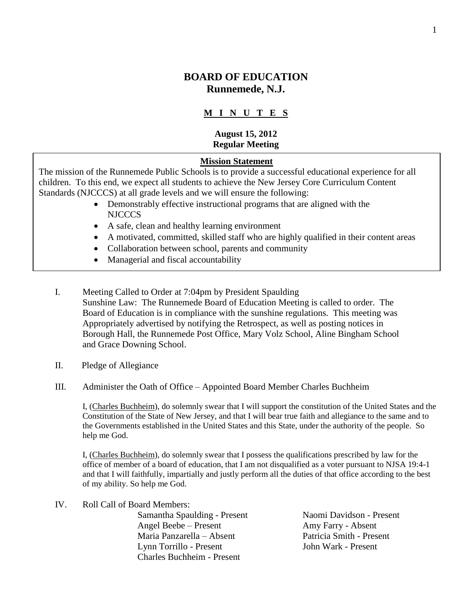# **BOARD OF EDUCATION Runnemede, N.J.**

# **M I N U T E S**

#### **August 15, 2012 Regular Meeting**

#### **Mission Statement**

The mission of the Runnemede Public Schools is to provide a successful educational experience for all children. To this end, we expect all students to achieve the New Jersey Core Curriculum Content Standards (NJCCCS) at all grade levels and we will ensure the following:

- Demonstrably effective instructional programs that are aligned with the NJCCCS
- A safe, clean and healthy learning environment
- A motivated, committed, skilled staff who are highly qualified in their content areas
- Collaboration between school, parents and community
- Managerial and fiscal accountability
- I. Meeting Called to Order at 7:04pm by President Spaulding Sunshine Law: The Runnemede Board of Education Meeting is called to order. The Board of Education is in compliance with the sunshine regulations. This meeting was Appropriately advertised by notifying the Retrospect, as well as posting notices in Borough Hall, the Runnemede Post Office, Mary Volz School, Aline Bingham School and Grace Downing School.
- II. Pledge of Allegiance
- III. Administer the Oath of Office Appointed Board Member Charles Buchheim

I, (Charles Buchheim), do solemnly swear that I will support the constitution of the United States and the Constitution of the State of New Jersey, and that I will bear true faith and allegiance to the same and to the Governments established in the United States and this State, under the authority of the people. So help me God.

I, (Charles Buchheim), do solemnly swear that I possess the qualifications prescribed by law for the office of member of a board of education, that I am not disqualified as a voter pursuant to NJSA 19:4-1 and that I will faithfully, impartially and justly perform all the duties of that office according to the best of my ability. So help me God.

IV. Roll Call of Board Members: Samantha Spaulding - Present Naomi Davidson - Present Angel Beebe – Present Amy Farry - Absent Maria Panzarella – Absent Patricia Smith - Present Lynn Torrillo - Present John Wark - Present Charles Buchheim - Present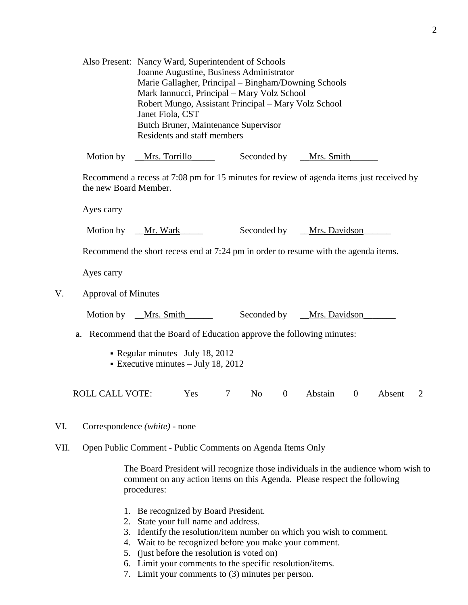|    |                                                                                                                   | Also Present: Nancy Ward, Superintendent of Schools<br>Joanne Augustine, Business Administrator<br>Marie Gallagher, Principal - Bingham/Downing Schools<br>Mark Iannucci, Principal - Mary Volz School<br>Robert Mungo, Assistant Principal - Mary Volz School<br>Janet Fiola, CST<br>Butch Bruner, Maintenance Supervisor<br>Residents and staff members |     |        |                |                |                   |                |        |  |
|----|-------------------------------------------------------------------------------------------------------------------|-----------------------------------------------------------------------------------------------------------------------------------------------------------------------------------------------------------------------------------------------------------------------------------------------------------------------------------------------------------|-----|--------|----------------|----------------|-------------------|----------------|--------|--|
|    | Motion by __Mrs. Torrillo                                                                                         |                                                                                                                                                                                                                                                                                                                                                           |     |        | Seconded by    |                | <u>Mrs. Smith</u> |                |        |  |
|    | Recommend a recess at 7:08 pm for 15 minutes for review of agenda items just received by<br>the new Board Member. |                                                                                                                                                                                                                                                                                                                                                           |     |        |                |                |                   |                |        |  |
|    | Ayes carry                                                                                                        |                                                                                                                                                                                                                                                                                                                                                           |     |        |                |                |                   |                |        |  |
|    | Motion by                                                                                                         | __Mr. Wark__                                                                                                                                                                                                                                                                                                                                              |     |        | Seconded by    |                | _Mrs. Davidson    |                |        |  |
|    | Recommend the short recess end at 7:24 pm in order to resume with the agenda items.                               |                                                                                                                                                                                                                                                                                                                                                           |     |        |                |                |                   |                |        |  |
|    | Ayes carry                                                                                                        |                                                                                                                                                                                                                                                                                                                                                           |     |        |                |                |                   |                |        |  |
| V. | <b>Approval of Minutes</b>                                                                                        |                                                                                                                                                                                                                                                                                                                                                           |     |        |                |                |                   |                |        |  |
|    | Motion by                                                                                                         | _Mrs. Smith___                                                                                                                                                                                                                                                                                                                                            |     |        | Seconded by    |                | _Mrs. Davidson    |                |        |  |
|    | Recommend that the Board of Education approve the following minutes:<br>a.                                        |                                                                                                                                                                                                                                                                                                                                                           |     |        |                |                |                   |                |        |  |
|    |                                                                                                                   | - Regular minutes - July 18, 2012<br>Executive minutes $-$ July 18, 2012                                                                                                                                                                                                                                                                                  |     |        |                |                |                   |                |        |  |
|    | <b>ROLL CALL VOTE:</b>                                                                                            |                                                                                                                                                                                                                                                                                                                                                           | Yes | $\tau$ | N <sub>o</sub> | $\overline{0}$ | Abstain           | $\overline{0}$ | Absent |  |

- VI. Correspondence *(white) -* none
- VII. Open Public Comment Public Comments on Agenda Items Only

The Board President will recognize those individuals in the audience whom wish to comment on any action items on this Agenda. Please respect the following procedures:

- 1. Be recognized by Board President.
- 2. State your full name and address.
- 3. Identify the resolution/item number on which you wish to comment.
- 4. Wait to be recognized before you make your comment.
- 5. (just before the resolution is voted on)
- 6. Limit your comments to the specific resolution/items.
- 7. Limit your comments to (3) minutes per person.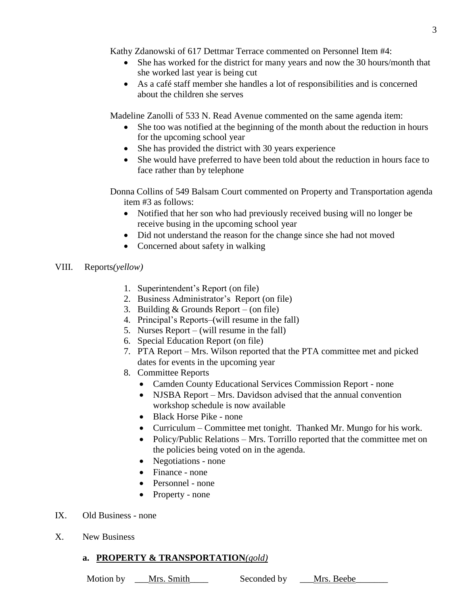Kathy Zdanowski of 617 Dettmar Terrace commented on Personnel Item #4:

- She has worked for the district for many years and now the 30 hours/month that she worked last year is being cut
- As a café staff member she handles a lot of responsibilities and is concerned about the children she serves

Madeline Zanolli of 533 N. Read Avenue commented on the same agenda item:

- She too was notified at the beginning of the month about the reduction in hours for the upcoming school year
- She has provided the district with 30 years experience
- She would have preferred to have been told about the reduction in hours face to face rather than by telephone

Donna Collins of 549 Balsam Court commented on Property and Transportation agenda item #3 as follows:

- Notified that her son who had previously received busing will no longer be receive busing in the upcoming school year
- Did not understand the reason for the change since she had not moved
- Concerned about safety in walking

### VIII. Reports*(yellow)*

- 1. Superintendent's Report (on file)
- 2. Business Administrator's Report (on file)
- 3. Building & Grounds Report (on file)
- 4. Principal's Reports–(will resume in the fall)
- 5. Nurses Report (will resume in the fall)
- 6. Special Education Report (on file)
- 7. PTA Report Mrs. Wilson reported that the PTA committee met and picked dates for events in the upcoming year
- 8. Committee Reports
	- Camden County Educational Services Commission Report none
	- NJSBA Report Mrs. Davidson advised that the annual convention workshop schedule is now available
	- Black Horse Pike none
	- Curriculum Committee met tonight. Thanked Mr. Mungo for his work.
	- Policy/Public Relations Mrs. Torrillo reported that the committee met on the policies being voted on in the agenda.
	- Negotiations none
	- Finance none
	- Personnel none
	- Property none
- IX. Old Business none
- X. New Business

# **a. PROPERTY & TRANSPORTATION***(gold)*

Motion by \_\_\_Mrs. Smith\_\_\_\_ Seconded by \_\_\_Mrs. Beebe\_\_\_\_\_\_\_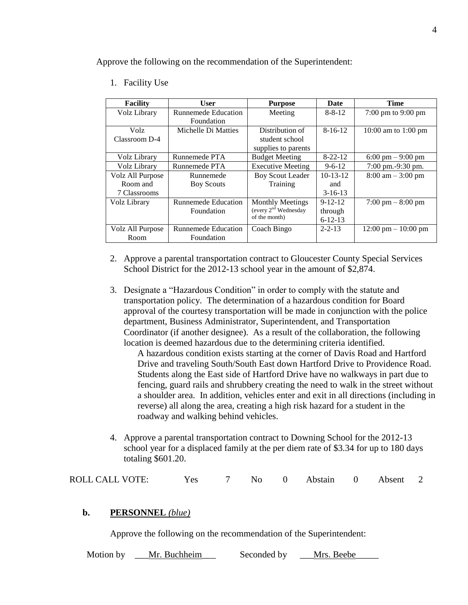Approve the following on the recommendation of the Superintendent:

1. Facility Use

| <b>Facility</b>  | User                       | <b>Purpose</b>                   | Date          | Time                                   |
|------------------|----------------------------|----------------------------------|---------------|----------------------------------------|
| Volz Library     | <b>Runnemede Education</b> | Meeting                          | $8 - 8 - 12$  | $7:00 \text{ pm}$ to $9:00 \text{ pm}$ |
|                  | Foundation                 |                                  |               |                                        |
| Volz.            | Michelle Di Matties        | Distribution of                  | $8-16-12$     | 10:00 am to 1:00 pm                    |
| Classroom D-4    |                            | student school                   |               |                                        |
|                  |                            | supplies to parents              |               |                                        |
| Volz Library     | Runnemede PTA              | <b>Budget Meeting</b>            | $8 - 22 - 12$ | $6:00 \text{ pm} - 9:00 \text{ pm}$    |
| Volz Library     | Runnemede PTA              | <b>Executive Meeting</b>         | $9 - 6 - 12$  | 7:00 pm.-9:30 pm.                      |
| Volz All Purpose | Runnemede                  | <b>Boy Scout Leader</b>          | $10-13-12$    | $8:00 \text{ am} - 3:00 \text{ pm}$    |
| Room and         | <b>Boy Scouts</b>          | Training                         | and           |                                        |
| 7 Classrooms     |                            |                                  | $3-16-13$     |                                        |
| Volz Library     | Runnemede Education        | <b>Monthly Meetings</b>          | $9 - 12 - 12$ | $7:00 \text{ pm} - 8:00 \text{ pm}$    |
|                  | Foundation                 | (every 2 <sup>nd</sup> Wednesday | through       |                                        |
|                  |                            | of the month)                    | $6 - 12 - 13$ |                                        |
| Volz All Purpose | <b>Runnemede Education</b> | Coach Bingo                      | $2 - 2 - 13$  | $12:00 \text{ pm} - 10:00 \text{ pm}$  |
| Room             | Foundation                 |                                  |               |                                        |

- 2. Approve a parental transportation contract to Gloucester County Special Services School District for the 2012-13 school year in the amount of \$2,874.
- 3. Designate a "Hazardous Condition" in order to comply with the statute and transportation policy. The determination of a hazardous condition for Board approval of the courtesy transportation will be made in conjunction with the police department, Business Administrator, Superintendent, and Transportation Coordinator (if another designee). As a result of the collaboration, the following location is deemed hazardous due to the determining criteria identified.

A hazardous condition exists starting at the corner of Davis Road and Hartford Drive and traveling South/South East down Hartford Drive to Providence Road. Students along the East side of Hartford Drive have no walkways in part due to fencing, guard rails and shrubbery creating the need to walk in the street without a shoulder area. In addition, vehicles enter and exit in all directions (including in reverse) all along the area, creating a high risk hazard for a student in the roadway and walking behind vehicles.

4. Approve a parental transportation contract to Downing School for the 2012-13 school year for a displaced family at the per diem rate of \$3.34 for up to 180 days totaling \$601.20.

| ROLL CALL VOTE:<br>7 No 0 Abstain 0 Absent 2<br>Yes |  |  |
|-----------------------------------------------------|--|--|
|-----------------------------------------------------|--|--|

### **b. PERSONNEL** *(blue)*

Approve the following on the recommendation of the Superintendent:

Motion by \_\_\_Mr. Buchheim\_\_\_ Seconded by \_\_\_Mrs. Beebe\_\_\_\_\_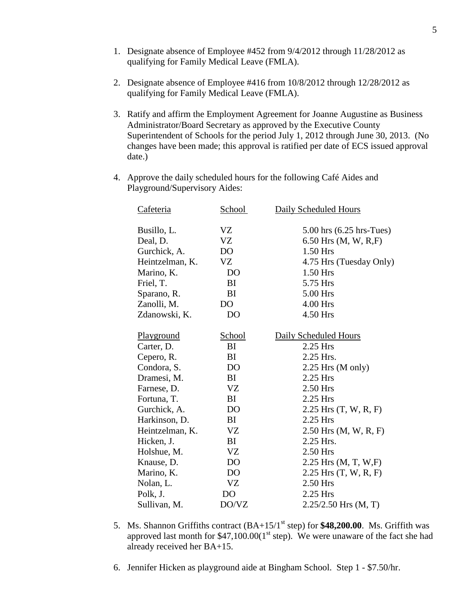- 1. Designate absence of Employee #452 from 9/4/2012 through 11/28/2012 as qualifying for Family Medical Leave (FMLA).
- 2. Designate absence of Employee #416 from 10/8/2012 through 12/28/2012 as qualifying for Family Medical Leave (FMLA).
- 3. Ratify and affirm the Employment Agreement for Joanne Augustine as Business Administrator/Board Secretary as approved by the Executive County Superintendent of Schools for the period July 1, 2012 through June 30, 2013. (No changes have been made; this approval is ratified per date of ECS issued approval date.)
- 4. Approve the daily scheduled hours for the following Café Aides and Playground/Supervisory Aides:

| Cafeteria         | School         | Daily Scheduled Hours      |
|-------------------|----------------|----------------------------|
|                   |                |                            |
| Busillo, L.       | VZ             | 5.00 hrs $(6.25$ hrs-Tues) |
| Deal, D.          | <b>VZ</b>      | 6.50 Hrs $(M, W, R, F)$    |
| Gurchick, A.      | D <sub>O</sub> | 1.50 Hrs                   |
| Heintzelman, K.   | VZ             | 4.75 Hrs (Tuesday Only)    |
| Marino, K.        | D <sub>O</sub> | 1.50 Hrs                   |
| Friel, T.         | BI             | 5.75 Hrs                   |
| Sparano, R.       | BI             | 5.00 Hrs                   |
| Zanolli, M.       | D <sub>O</sub> | 4.00 Hrs                   |
| Zdanowski, K.     | D <sub>O</sub> | 4.50 Hrs                   |
|                   |                |                            |
| <b>Playground</b> | <b>School</b>  | Daily Scheduled Hours      |
| Carter, D.        | BI             | 2.25 Hrs                   |
| Cepero, R.        | BI             | 2.25 Hrs.                  |
| Condora, S.       | D <sub>O</sub> | 2.25 Hrs (M only)          |
| Dramesi, M.       | BI             | 2.25 Hrs                   |
| Farnese, D.       | <b>VZ</b>      | 2.50 Hrs                   |
| Fortuna, T.       | BI             | 2.25 Hrs                   |
| Gurchick, A.      | D <sub>O</sub> | $2.25$ Hrs $(T, W, R, F)$  |
| Harkinson, D.     | BI             | 2.25 Hrs                   |
| Heintzelman, K.   | <b>VZ</b>      | $2.50$ Hrs (M, W, R, F)    |
| Hicken, J.        | BI             | 2.25 Hrs.                  |
| Holshue, M.       | <b>VZ</b>      | 2.50 Hrs                   |
| Knause, D.        | D <sub>O</sub> | 2.25 Hrs $(M, T, W, F)$    |
| Marino, K.        | D <sub>O</sub> | $2.25$ Hrs $(T, W, R, F)$  |
| Nolan, L.         | <b>VZ</b>      | 2.50 Hrs                   |
| Polk, J.          | D <sub>O</sub> | 2.25 Hrs                   |
| Sullivan, M.      | DO/VZ          | $2.25/2.50$ Hrs (M, T)     |

- 5. Ms. Shannon Griffiths contract  $(BA+15/1<sup>st</sup>$  step) for  $$48,200.00$ . Ms. Griffith was approved last month for  $$47,100.00(1<sup>st</sup> step)$ . We were unaware of the fact she had already received her BA+15.
- 6. Jennifer Hicken as playground aide at Bingham School. Step 1 \$7.50/hr.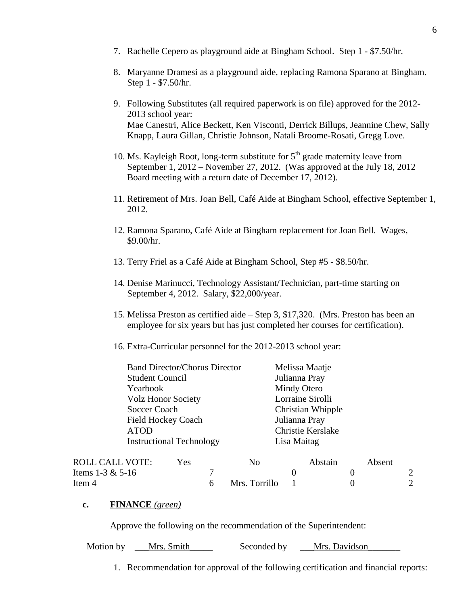- 7. Rachelle Cepero as playground aide at Bingham School. Step 1 \$7.50/hr.
- 8. Maryanne Dramesi as a playground aide, replacing Ramona Sparano at Bingham. Step 1 - \$7.50/hr.
- 9. Following Substitutes (all required paperwork is on file) approved for the 2012- 2013 school year: Mae Canestri, Alice Beckett, Ken Visconti, Derrick Billups, Jeannine Chew, Sally Knapp, Laura Gillan, Christie Johnson, Natali Broome-Rosati, Gregg Love.
- 10. Ms. Kayleigh Root, long-term substitute for  $5<sup>th</sup>$  grade maternity leave from September 1, 2012 – November 27, 2012. (Was approved at the July 18, 2012 Board meeting with a return date of December 17, 2012).
- 11. Retirement of Mrs. Joan Bell, Café Aide at Bingham School, effective September 1, 2012.
- 12. Ramona Sparano, Café Aide at Bingham replacement for Joan Bell. Wages, \$9.00/hr.
- 13. Terry Friel as a Café Aide at Bingham School, Step #5 \$8.50/hr.
- 14. Denise Marinucci, Technology Assistant/Technician, part-time starting on September 4, 2012. Salary, \$22,000/year.
- 15. Melissa Preston as certified aide Step 3, \$17,320. (Mrs. Preston has been an employee for six years but has just completed her courses for certification).
- 16. Extra-Curricular personnel for the 2012-2013 school year:

| <b>Band Director/Chorus Director</b> | Melissa Maatje    |
|--------------------------------------|-------------------|
| <b>Student Council</b>               | Julianna Pray     |
| Yearbook                             | Mindy Otero       |
| <b>Volz Honor Society</b>            | Lorraine Sirolli  |
| Soccer Coach                         | Christian Whipple |
| <b>Field Hockey Coach</b>            | Julianna Pray     |
| <b>ATOD</b>                          | Christie Kerslake |
| <b>Instructional Technology</b>      | Lisa Maitag       |
|                                      |                   |

| <b>ROLL CALL VOTE:</b> | Yes | No            | Abstain | Absent |  |
|------------------------|-----|---------------|---------|--------|--|
| Items 1-3 $& 5-16$     |     |               |         |        |  |
| Item 4                 |     | Mrs. Torrillo |         |        |  |

### **c. FINANCE** *(green)*

Approve the following on the recommendation of the Superintendent:

Motion by Mrs. Smith Seconded by Mrs. Davidson

1. Recommendation for approval of the following certification and financial reports: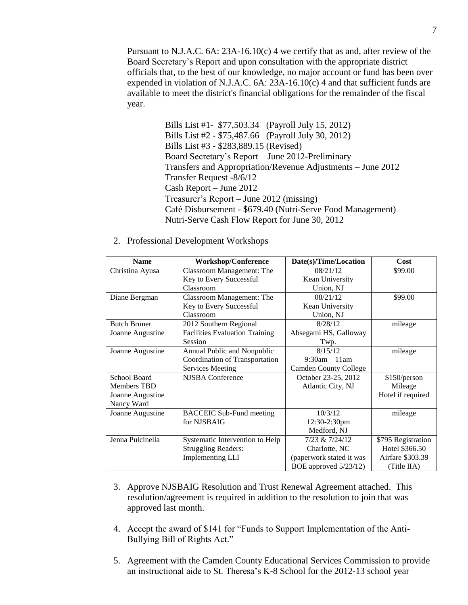Pursuant to N.J.A.C. 6A: 23A-16.10(c) 4 we certify that as and, after review of the Board Secretary's Report and upon consultation with the appropriate district officials that, to the best of our knowledge, no major account or fund has been over expended in violation of N.J.A.C.  $6A: 23A-16.10(c)$  4 and that sufficient funds are available to meet the district's financial obligations for the remainder of the fiscal year.

> Bills List #1- \$77,503.34 (Payroll July 15, 2012) Bills List #2 - \$75,487.66 (Payroll July 30, 2012) Bills List #3 - \$283,889.15 (Revised) Board Secretary's Report – June 2012-Preliminary Transfers and Appropriation/Revenue Adjustments – June 2012 Transfer Request -8/6/12 Cash Report – June 2012 Treasurer's Report – June 2012 (missing) Café Disbursement - \$679.40 (Nutri-Serve Food Management) Nutri-Serve Cash Flow Report for June 30, 2012

2. Professional Development Workshops

| <b>Name</b>         | <b>Workshop/Conference</b>            | Date(s)/Time/Location        | Cost               |
|---------------------|---------------------------------------|------------------------------|--------------------|
| Christina Ayusa     | <b>Classroom Management: The</b>      | 08/21/12                     | \$99.00            |
|                     | Key to Every Successful               | Kean University              |                    |
|                     | Classroom                             | Union, NJ                    |                    |
| Diane Bergman       | <b>Classroom Management: The</b>      | 08/21/12                     | \$99.00            |
|                     | Key to Every Successful               | Kean University              |                    |
|                     | Classroom                             | Union, NJ                    |                    |
| <b>Butch Bruner</b> | 2012 Southern Regional                | 8/28/12                      | mileage            |
| Joanne Augustine    | <b>Facilities Evaluation Training</b> | Absegami HS, Galloway        |                    |
|                     | Session                               | Twp.                         |                    |
| Joanne Augustine    | Annual Public and Nonpublic           | 8/15/12                      | mileage            |
|                     | Coordination of Transportation        | $9:30am - 11am$              |                    |
|                     | Services Meeting                      | <b>Camden County College</b> |                    |
| School Board        | <b>NJSBA</b> Conference               | October 23-25, 2012          | \$150/person       |
| Members TBD         |                                       | Atlantic City, NJ            | Mileage            |
| Joanne Augustine    |                                       |                              | Hotel if required  |
| Nancy Ward          |                                       |                              |                    |
| Joanne Augustine    | <b>BACCEIC Sub-Fund meeting</b>       | 10/3/12                      | mileage            |
|                     | for NJSBAIG                           | 12:30-2:30pm                 |                    |
|                     |                                       | Medford, NJ                  |                    |
| Jenna Pulcinella    | Systematic Intervention to Help       | 7/23 & 7/24/12               | \$795 Registration |
|                     | <b>Struggling Readers:</b>            | Charlotte, NC                | Hotel \$366.50     |
|                     | <b>Implementing LLI</b>               | (paperwork stated it was     | Airfare \$303.39   |
|                     |                                       | BOE approved 5/23/12)        | (Title IIA)        |

- 3. Approve NJSBAIG Resolution and Trust Renewal Agreement attached. This resolution/agreement is required in addition to the resolution to join that was approved last month.
- 4. Accept the award of \$141 for "Funds to Support Implementation of the Anti-Bullying Bill of Rights Act."
- 5. Agreement with the Camden County Educational Services Commission to provide an instructional aide to St. Theresa's K-8 School for the 2012-13 school year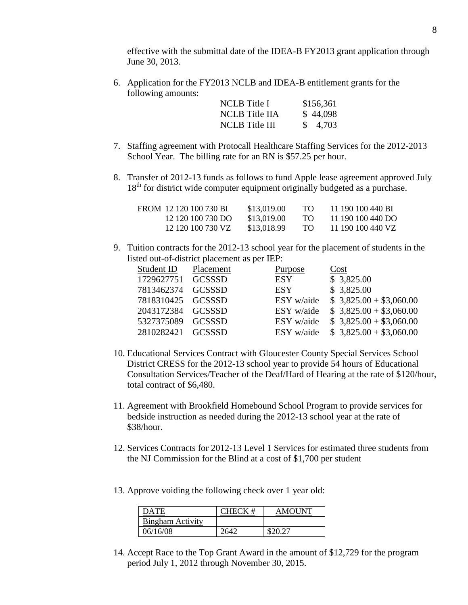effective with the submittal date of the IDEA-B FY2013 grant application through June 30, 2013.

6. Application for the FY2013 NCLB and IDEA-B entitlement grants for the following amounts:

| NCLB Title I          | \$156,361 |
|-----------------------|-----------|
| <b>NCLB</b> Title IIA | \$44,098  |
| NCLB Title III        | \$4,703   |

- 7. Staffing agreement with Protocall Healthcare Staffing Services for the 2012-2013 School Year. The billing rate for an RN is \$57.25 per hour.
- 8. Transfer of 2012-13 funds as follows to fund Apple lease agreement approved July 18<sup>th</sup> for district wide computer equipment originally budgeted as a purchase.

| FROM 12 120 100 730 BI | \$13,019.00 | TО  | 11 190 100 440 BI |
|------------------------|-------------|-----|-------------------|
| 12 120 100 730 DO      | \$13,019.00 | TO. | 11 190 100 440 DO |
| 12 120 100 730 VZ      | \$13,018.99 | TO. | 11 190 100 440 VZ |

9. Tuition contracts for the 2012-13 school year for the placement of students in the listed out-of-district placement as per IEP:

| Placement                   | Purpose         | Cost                    |
|-----------------------------|-----------------|-------------------------|
| 1729627751<br><b>GCSSSD</b> | <b>ESY</b>      | \$3,825.00              |
| 7813462374 GCSSSD           | ESY <sub></sub> | \$3,825.00              |
| 7818310425 GCSSSD           | ESY w/aide      | $$3,825.00 + $3,060.00$ |
| 2043172384 GCSSSD           | ESY w/aide      | $$3,825.00 + $3,060.00$ |
| 5327375089 GCSSSD           | ESY w/aide      | $$3,825.00 + $3,060.00$ |
| 2810282421 GCSSSD           | ESY w/aide      | $$3,825.00 + $3,060.00$ |
|                             |                 |                         |

- 10. Educational Services Contract with Gloucester County Special Services School District CRESS for the 2012-13 school year to provide 54 hours of Educational Consultation Services/Teacher of the Deaf/Hard of Hearing at the rate of \$120/hour, total contract of \$6,480.
- 11. Agreement with Brookfield Homebound School Program to provide services for bedside instruction as needed during the 2012-13 school year at the rate of \$38/hour.
- 12. Services Contracts for 2012-13 Level 1 Services for estimated three students from the NJ Commission for the Blind at a cost of \$1,700 per student
- 13. Approve voiding the following check over 1 year old:

| DATE                    |      | <b>AMOUNT</b> |
|-------------------------|------|---------------|
| <b>Bingham Activity</b> |      |               |
| 06/16/08                | 2642 | \$20.27       |

14. Accept Race to the Top Grant Award in the amount of \$12,729 for the program period July 1, 2012 through November 30, 2015.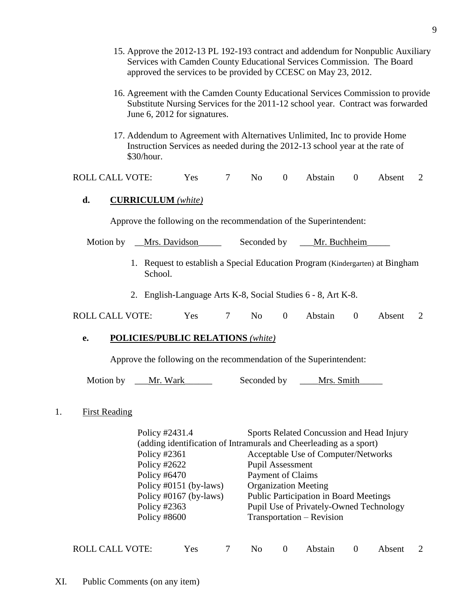- 15. Approve the 2012-13 PL 192-193 contract and addendum for Nonpublic Auxiliary Services with Camden County Educational Services Commission. The Board approved the services to be provided by CCESC on May 23, 2012.
- 16. Agreement with the Camden County Educational Services Commission to provide Substitute Nursing Services for the 2011-12 school year. Contract was forwarded June 6, 2012 for signatures.
- 17. Addendum to Agreement with Alternatives Unlimited, Inc to provide Home Instruction Services as needed during the 2012-13 school year at the rate of \$30/hour.

| <b>ROLL CALL VOTE:</b> | <b>Yes</b> |  | 7 No 0 Abstain 0 Absent 2 |  |  |
|------------------------|------------|--|---------------------------|--|--|
|                        |            |  |                           |  |  |

## **d. CURRICULUM** *(white)*

Approve the following on the recommendation of the Superintendent:

Motion by Mrs. Davidson Seconded by Mr. Buchheim

- 1. Request to establish a Special Education Program (Kindergarten) at Bingham School.
- 2. English-Language Arts K-8, Social Studies 6 8, Art K-8.

| <b>ROLL CALL VOTE:</b> | <b>Yes</b> |  |  |  | No 0 Abstain 0 Absent 2 |  |  |  |
|------------------------|------------|--|--|--|-------------------------|--|--|--|
|------------------------|------------|--|--|--|-------------------------|--|--|--|

### **e. POLICIES/PUBLIC RELATIONS** *(white)*

Approve the following on the recommendation of the Superintendent:

Motion by Let Mr. Wark and Seconded by Mrs. Smith

### 1. First Reading

Policy #2431.4 Sports Related Concussion and Head Injury (adding identification of Intramurals and Cheerleading as a sport) Policy #2361 Acceptable Use of Computer/Networks Policy #2622 Pupil Assessment Policy #6470 Payment of Claims Policy #0151 (by-laws) Organization Meeting Policy #0167 (by-laws) Public Participation in Board Meetings Policy #2363 Pupil Use of Privately-Owned Technology Policy #8600 Transportation – Revision

| ROLL CALL VOTE: | Yes |  |  |  | 7 No 0 Abstain 0 Absent 2 |  |  |  |
|-----------------|-----|--|--|--|---------------------------|--|--|--|
|-----------------|-----|--|--|--|---------------------------|--|--|--|